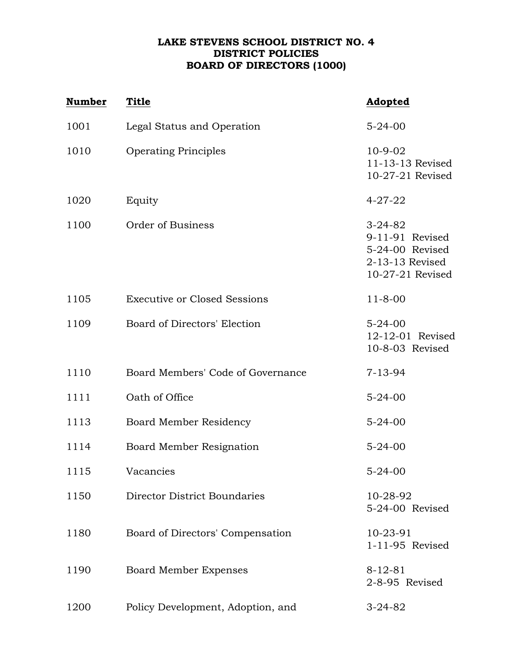## **LAKE STEVENS SCHOOL DISTRICT NO. 4 DISTRICT POLICIES BOARD OF DIRECTORS (1000)**

| <b>Number</b> | <b>Title</b>                        | Adopted                                                                                    |
|---------------|-------------------------------------|--------------------------------------------------------------------------------------------|
| 1001          | Legal Status and Operation          | $5 - 24 - 00$                                                                              |
| 1010          | <b>Operating Principles</b>         | $10-9-02$<br>11-13-13 Revised<br>10-27-21 Revised                                          |
| 1020          | Equity                              | $4 - 27 - 22$                                                                              |
| 1100          | Order of Business                   | $3 - 24 - 82$<br>9-11-91 Revised<br>5-24-00 Revised<br>2-13-13 Revised<br>10-27-21 Revised |
| 1105          | <b>Executive or Closed Sessions</b> | $11 - 8 - 00$                                                                              |
| 1109          | Board of Directors' Election        | $5 - 24 - 00$<br>12-12-01 Revised<br>10-8-03 Revised                                       |
| 1110          | Board Members' Code of Governance   | $7 - 13 - 94$                                                                              |
| 1111          | Oath of Office                      | $5 - 24 - 00$                                                                              |
| 1113          | <b>Board Member Residency</b>       | $5 - 24 - 00$                                                                              |
| 1114          | Board Member Resignation            | $5 - 24 - 00$                                                                              |
| 1115          | Vacancies                           | $5 - 24 - 00$                                                                              |
| 1150          | <b>Director District Boundaries</b> | 10-28-92<br>5-24-00 Revised                                                                |
| 1180          | Board of Directors' Compensation    | 10-23-91<br>1-11-95 Revised                                                                |
| 1190          | <b>Board Member Expenses</b>        | $8 - 12 - 81$<br>2-8-95 Revised                                                            |
| 1200          | Policy Development, Adoption, and   | $3 - 24 - 82$                                                                              |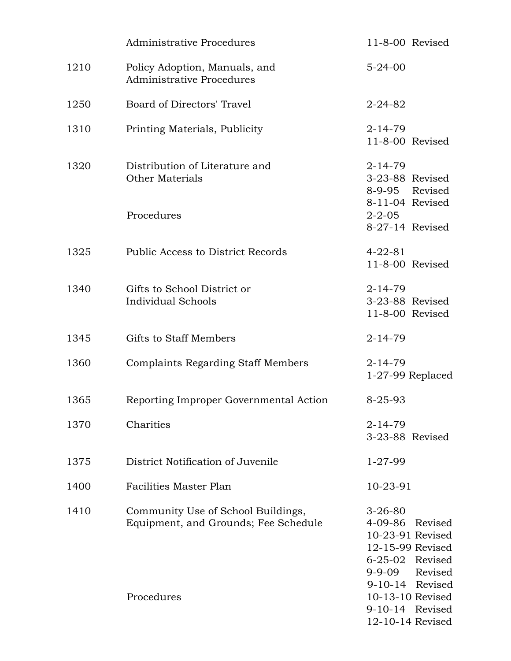|      | Administrative Procedures                                                  | $11-8-00$ Revised                                                                                                                            |
|------|----------------------------------------------------------------------------|----------------------------------------------------------------------------------------------------------------------------------------------|
| 1210 | Policy Adoption, Manuals, and<br><b>Administrative Procedures</b>          | $5 - 24 - 00$                                                                                                                                |
| 1250 | Board of Directors' Travel                                                 | $2 - 24 - 82$                                                                                                                                |
| 1310 | Printing Materials, Publicity                                              | $2 - 14 - 79$<br>11-8-00 Revised                                                                                                             |
| 1320 | Distribution of Literature and<br><b>Other Materials</b>                   | $2 - 14 - 79$<br>3-23-88 Revised<br>8-9-95 Revised<br>8-11-04 Revised                                                                        |
|      | Procedures                                                                 | $2 - 2 - 05$<br>8-27-14 Revised                                                                                                              |
| 1325 | Public Access to District Records                                          | $4 - 22 - 81$<br>11-8-00 Revised                                                                                                             |
| 1340 | Gifts to School District or<br>Individual Schools                          | $2 - 14 - 79$<br>3-23-88 Revised<br>11-8-00 Revised                                                                                          |
| 1345 | <b>Gifts to Staff Members</b>                                              | $2 - 14 - 79$                                                                                                                                |
| 1360 | <b>Complaints Regarding Staff Members</b>                                  | $2 - 14 - 79$<br>$1-27-99$ Replaced                                                                                                          |
| 1365 | Reporting Improper Governmental Action                                     | $8 - 25 - 93$                                                                                                                                |
| 1370 | Charities                                                                  | $2 - 14 - 79$<br>3-23-88 Revised                                                                                                             |
| 1375 | District Notification of Juvenile                                          | $1 - 27 - 99$                                                                                                                                |
| 1400 | Facilities Master Plan                                                     | $10 - 23 - 91$                                                                                                                               |
| 1410 | Community Use of School Buildings,<br>Equipment, and Grounds; Fee Schedule | $3 - 26 - 80$<br>$4 - 09 - 86$<br>Revised<br>10-23-91 Revised<br>12-15-99 Revised<br>6-25-02 Revised<br>Revised<br>9-9-09<br>9-10-14 Revised |
|      | Procedures                                                                 | 10-13-10 Revised<br>9-10-14 Revised<br>12-10-14 Revised                                                                                      |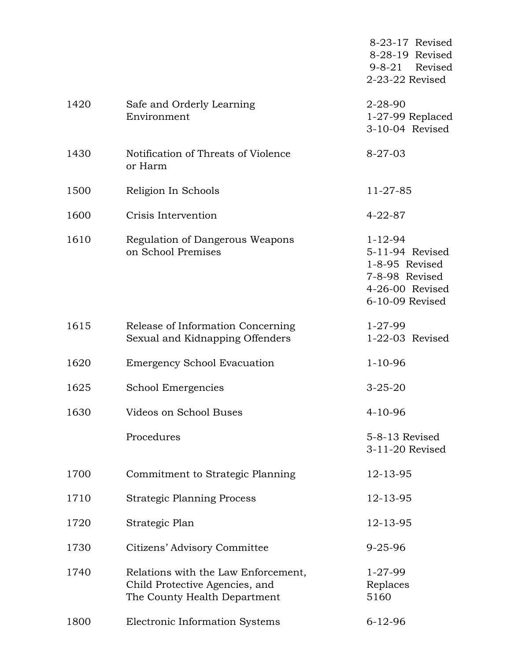|      |                                                                                                       | 8-23-17 Revised<br>8-28-19 Revised<br>$9 - 8 - 21$<br>Revised<br>2-23-22 Revised                           |
|------|-------------------------------------------------------------------------------------------------------|------------------------------------------------------------------------------------------------------------|
| 1420 | Safe and Orderly Learning<br>Environment                                                              | $2 - 28 - 90$<br>$1-27-99$ Replaced<br>3-10-04 Revised                                                     |
| 1430 | Notification of Threats of Violence<br>or Harm                                                        | $8 - 27 - 03$                                                                                              |
| 1500 | Religion In Schools                                                                                   | 11-27-85                                                                                                   |
| 1600 | Crisis Intervention                                                                                   | $4 - 22 - 87$                                                                                              |
| 1610 | Regulation of Dangerous Weapons<br>on School Premises                                                 | $1 - 12 - 94$<br>5-11-94 Revised<br>1-8-95 Revised<br>7-8-98 Revised<br>4-26-00 Revised<br>6-10-09 Revised |
| 1615 | Release of Information Concerning<br>Sexual and Kidnapping Offenders                                  | $1 - 27 - 99$<br>1-22-03 Revised                                                                           |
| 1620 | <b>Emergency School Evacuation</b>                                                                    | $1 - 10 - 96$                                                                                              |
| 1625 | School Emergencies                                                                                    | $3 - 25 - 20$                                                                                              |
| 1630 | Videos on School Buses                                                                                | $4 - 10 - 96$                                                                                              |
|      | Procedures                                                                                            | 5-8-13 Revised<br>3-11-20 Revised                                                                          |
| 1700 | Commitment to Strategic Planning                                                                      | 12-13-95                                                                                                   |
| 1710 | <b>Strategic Planning Process</b>                                                                     | 12-13-95                                                                                                   |
| 1720 | Strategic Plan                                                                                        | 12-13-95                                                                                                   |
| 1730 | Citizens' Advisory Committee                                                                          | $9 - 25 - 96$                                                                                              |
| 1740 | Relations with the Law Enforcement,<br>Child Protective Agencies, and<br>The County Health Department | $1 - 27 - 99$<br>Replaces<br>5160                                                                          |
| 1800 | Electronic Information Systems                                                                        | $6 - 12 - 96$                                                                                              |